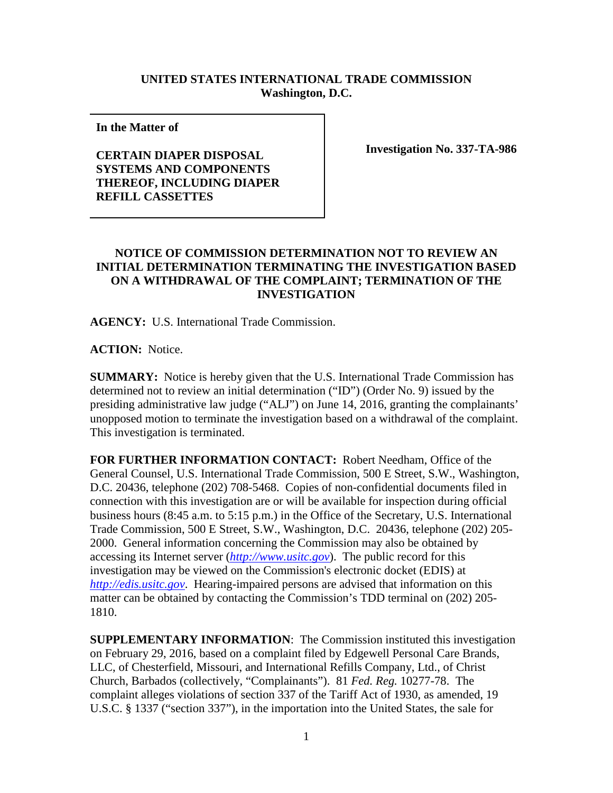## **UNITED STATES INTERNATIONAL TRADE COMMISSION Washington, D.C.**

**In the Matter of** 

## **CERTAIN DIAPER DISPOSAL SYSTEMS AND COMPONENTS THEREOF, INCLUDING DIAPER REFILL CASSETTES**

**Investigation No. 337-TA-986**

## **NOTICE OF COMMISSION DETERMINATION NOT TO REVIEW AN INITIAL DETERMINATION TERMINATING THE INVESTIGATION BASED ON A WITHDRAWAL OF THE COMPLAINT; TERMINATION OF THE INVESTIGATION**

**AGENCY:** U.S. International Trade Commission.

**ACTION:** Notice.

**SUMMARY:** Notice is hereby given that the U.S. International Trade Commission has determined not to review an initial determination ("ID") (Order No. 9) issued by the presiding administrative law judge ("ALJ") on June 14, 2016, granting the complainants' unopposed motion to terminate the investigation based on a withdrawal of the complaint. This investigation is terminated.

**FOR FURTHER INFORMATION CONTACT:** Robert Needham, Office of the General Counsel, U.S. International Trade Commission, 500 E Street, S.W., Washington, D.C. 20436, telephone (202) 708-5468. Copies of non-confidential documents filed in connection with this investigation are or will be available for inspection during official business hours (8:45 a.m. to 5:15 p.m.) in the Office of the Secretary, U.S. International Trade Commission, 500 E Street, S.W., Washington, D.C. 20436, telephone (202) 205- 2000. General information concerning the Commission may also be obtained by accessing its Internet server (*[http://www.usitc.gov](http://www.usitc.gov/)*). The public record for this investigation may be viewed on the Commission's electronic docket (EDIS) at *[http://edis.usitc.gov](http://edis.usitc.gov/)*. Hearing-impaired persons are advised that information on this matter can be obtained by contacting the Commission's TDD terminal on (202) 205- 1810.

**SUPPLEMENTARY INFORMATION**: The Commission instituted this investigation on February 29, 2016, based on a complaint filed by Edgewell Personal Care Brands, LLC, of Chesterfield, Missouri, and International Refills Company, Ltd., of Christ Church, Barbados (collectively, "Complainants"). 81 *Fed. Reg.* 10277-78. The complaint alleges violations of section 337 of the Tariff Act of 1930, as amended, 19 U.S.C. § 1337 ("section 337"), in the importation into the United States, the sale for